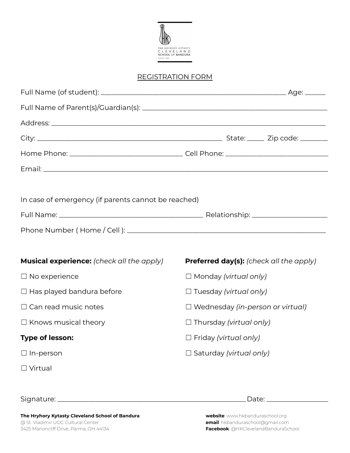

#### REGISTRATION FORM

| In case of emergency (if parents cannot be reached) |                                         |  |                                         |  |  |
|-----------------------------------------------------|-----------------------------------------|--|-----------------------------------------|--|--|
|                                                     |                                         |  |                                         |  |  |
|                                                     |                                         |  |                                         |  |  |
|                                                     |                                         |  |                                         |  |  |
| Musical experience: (check all the apply)           |                                         |  | Preferred day(s): (check all the apply) |  |  |
| $\Box$ No experience                                | $\Box$ Monday (virtual only)            |  |                                         |  |  |
| $\Box$ Has played bandura before                    | $\Box$ Tuesday (virtual only)           |  |                                         |  |  |
| $\Box$ Can read music notes                         | $\Box$ Wednesday (in-person or virtual) |  |                                         |  |  |
| $\Box$ Knows musical theory                         | $\Box$ Thursday (virtual only)          |  |                                         |  |  |
| Type of lesson:                                     | $\Box$ Friday (virtual only)            |  |                                         |  |  |
| $\Box$ In-person                                    | $\Box$ Saturday (virtual only)          |  |                                         |  |  |
| $\Box$ Virtual                                      |                                         |  |                                         |  |  |
|                                                     |                                         |  |                                         |  |  |

Signature: \_\_\_\_\_\_\_\_\_\_\_\_\_\_\_\_\_\_\_\_\_\_\_\_\_\_\_\_\_\_\_\_\_\_\_\_\_\_\_\_\_\_\_\_\_\_\_\_\_\_\_\_\_\_\_Date: \_\_\_\_\_\_\_\_\_\_\_\_\_\_\_\_\_\_

**The Hryhory Kytasty Cleveland School of Bandura website**: www.hkbanduraschool.org 3425 Marioncliff Drive, Parma, OH 44134 **Facebook**: @HKClevelandBanduraSchool

**email**: hkbanduraschool@gmail.com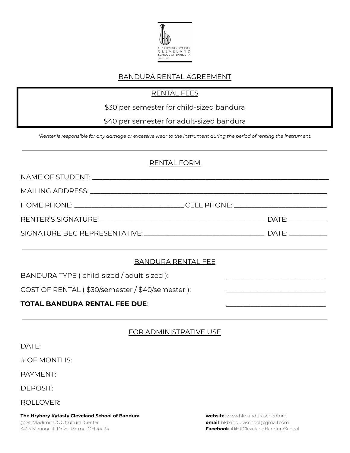

#### BANDURA RENTAL AGREEMENT

#### RENTAL FEES

\$30 per semester for child-sized bandura

\$40 per semester for adult-sized bandura

\*Renter is responsible for any damage or excessive wear to the instrument during the period of renting the instrument.

#### RENTAL FORM

| HOME PHONE: ___________________________________CELL PHONE: ______________________                     |  |  |  |  |  |
|-------------------------------------------------------------------------------------------------------|--|--|--|--|--|
|                                                                                                       |  |  |  |  |  |
|                                                                                                       |  |  |  |  |  |
| <b>BANDURA RENTAL FEE</b>                                                                             |  |  |  |  |  |
| BANDURA TYPE ( child-sized / adult-sized ):                                                           |  |  |  |  |  |
| COST OF RENTAL (\$30/semester / \$40/semester ):<br><u> 1986 - Jan Barbara, manazarta amerikan da</u> |  |  |  |  |  |
| <b>TOTAL BANDURA RENTAL FEE DUE:</b>                                                                  |  |  |  |  |  |

|                  | <b>FOR ADMINISTRATIVE USE</b> |  |
|------------------|-------------------------------|--|
| DATE:            |                               |  |
| # OF MONTHS:     |                               |  |
| PAYMENT:         |                               |  |
| DEPOSIT:         |                               |  |
| <b>ROLLOVER:</b> |                               |  |

**The Hryhory Kytasty Cleveland School of Bandura website**: www.hkbanduraschool.org @ St. Vladimir UOC Cultural Center **email**: hkbanduraschool@gmail.com

3425 Marioncliff Drive, Parma, OH 44134 **Facebook**: @HKClevelandBanduraSchool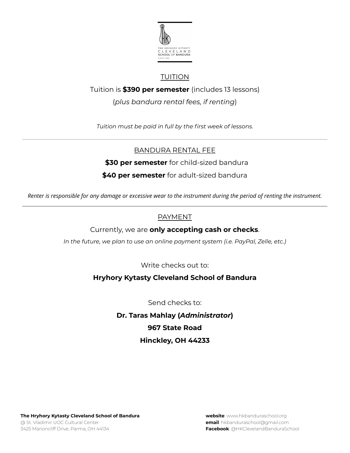

## TUITION

Tuition is **\$390 per semester** (includes 13 lessons)

(*plus bandura rental fees, if renting*)

*Tuition must be paid in full by the first week of lessons.*

### BANDURA RENTAL FEE

**\$30 per semester** for child-sized bandura

#### **\$40 per semester** for adult-sized bandura

Renter is responsible for any damage or excessive wear to the instrument during the period of renting the instrument.

#### PAYMENT

Currently, we are **only accepting cash or checks**.

*In the future, we plan to use an online payment system (i.e. PayPal, Zelle, etc.)*

Write checks out to:

### **Hryhory Kytasty Cleveland School of Bandura**

Send checks to:

# **Dr. Taras Mahlay (***Administrator***) 967 State Road Hinckley, OH 44233**